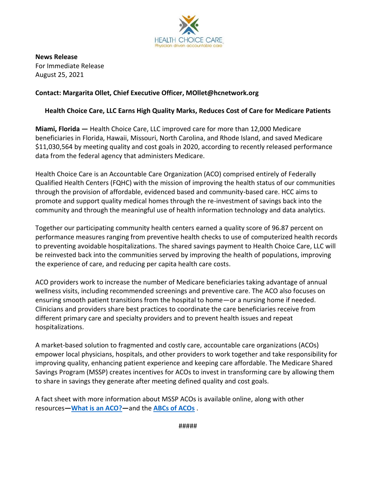

**News Release** For Immediate Release August 25, 2021

## **Contact: Margarita Ollet, Chief Executive Officer, MOllet@hcnetwork.org**

## **Health Choice Care, LLC Earns High Quality Marks, Reduces Cost of Care for Medicare Patients**

**Miami, Florida —** Health Choice Care, LLC improved care for more than 12,000 Medicare beneficiaries in Florida, Hawaii, Missouri, North Carolina, and Rhode Island, and saved Medicare \$11,030,564 by meeting quality and cost goals in 2020, according to recently released performance data from the federal agency that administers Medicare.

Health Choice Care is an Accountable Care Organization (ACO) comprised entirely of Federally Qualified Health Centers (FQHC) with the mission of improving the health status of our communities through the provision of affordable, evidenced based and community-based care. HCC aims to promote and support quality medical homes through the re-investment of savings back into the community and through the meaningful use of health information technology and data analytics.

Together our participating community health centers earned a quality score of 96.87 percent on performance measures ranging from preventive health checks to use of computerized health records to preventing avoidable hospitalizations. The shared savings payment to Health Choice Care, LLC will be reinvested back into the communities served by improving the health of populations, improving the experience of care, and reducing per capita health care costs.

ACO providers work to increase the number of Medicare beneficiaries taking advantage of annual wellness visits, including recommended screenings and preventive care. The ACO also focuses on ensuring smooth patient transitions from the hospital to home—or a nursing home if needed. Clinicians and providers share best practices to coordinate the care beneficiaries receive from different primary care and specialty providers and to prevent health issues and repeat hospitalizations.

A market-based solution to fragmented and costly care, accountable care organizations (ACOs) empower local physicians, hospitals, and other providers to work together and take responsibility for improving quality, enhancing patient experience and keeping care affordable. The Medicare Shared Savings Program (MSSP) creates incentives for ACOs to invest in transforming care by allowing them to share in savings they generate after meeting defined quality and cost goals.

A fact sheet with more information about MSSP ACOs is available online, along with other resources**—[What is an ACO?](https://www.naacos.com/what-is-an-aco-)—**and the **[ABCs of ACOs](https://www.naacos.com/assets/docs/pdf/abcsofacosonepagerfinal.pdf)** .